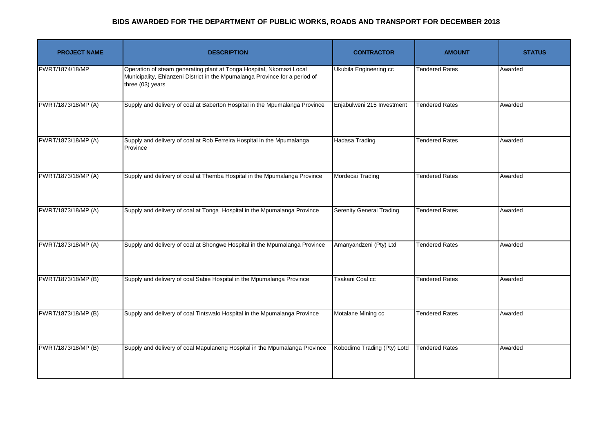| <b>PROJECT NAME</b> | <b>DESCRIPTION</b>                                                                                                                                                      | <b>CONTRACTOR</b>               | <b>AMOUNT</b>         | <b>STATUS</b> |
|---------------------|-------------------------------------------------------------------------------------------------------------------------------------------------------------------------|---------------------------------|-----------------------|---------------|
| PWRT/1874/18/MP     | Operation of steam generating plant at Tonga Hospital, Nkomazi Local<br>Municipality, Ehlanzeni District in the Mpumalanga Province for a period of<br>three (03) years | Ukubila Engineering cc          | <b>Tendered Rates</b> | Awarded       |
| PWRT/1873/18/MP (A) | Supply and delivery of coal at Baberton Hospital in the Mpumalanga Province                                                                                             | Enjabulweni 215 Investment      | <b>Tendered Rates</b> | Awarded       |
| PWRT/1873/18/MP (A) | Supply and delivery of coal at Rob Ferreira Hospital in the Mpumalanga<br>Province                                                                                      | <b>Hadasa Trading</b>           | <b>Tendered Rates</b> | Awarded       |
| PWRT/1873/18/MP (A) | Supply and delivery of coal at Themba Hospital in the Mpumalanga Province                                                                                               | Mordecai Trading                | <b>Tendered Rates</b> | Awarded       |
| PWRT/1873/18/MP (A) | Supply and delivery of coal at Tonga Hospital in the Mpumalanga Province                                                                                                | <b>Serenity General Trading</b> | <b>Tendered Rates</b> | Awarded       |
| PWRT/1873/18/MP (A) | Supply and delivery of coal at Shongwe Hospital in the Mpumalanga Province                                                                                              | Amanyandzeni (Pty) Ltd          | <b>Tendered Rates</b> | Awarded       |
| PWRT/1873/18/MP (B) | Supply and delivery of coal Sabie Hospital in the Mpumalanga Province                                                                                                   | Tsakani Coal cc                 | <b>Tendered Rates</b> | Awarded       |
| PWRT/1873/18/MP (B) | Supply and delivery of coal Tintswalo Hospital in the Mpumalanga Province                                                                                               | Motalane Mining cc              | <b>Tendered Rates</b> | Awarded       |
| PWRT/1873/18/MP (B) | Supply and delivery of coal Mapulaneng Hospital in the Mpumalanga Province                                                                                              | Kobodimo Trading (Pty) Lotd     | <b>Tendered Rates</b> | Awarded       |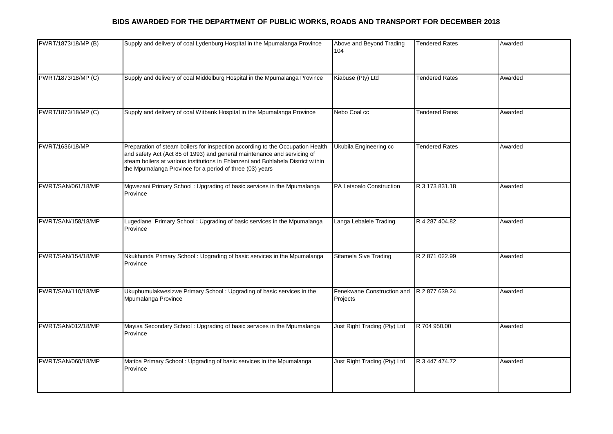| PWRT/1873/18/MP (B) | Supply and delivery of coal Lydenburg Hospital in the Mpumalanga Province                                                                                                                                                                                                                                  | Above and Beyond Trading<br>104        | <b>Tendered Rates</b> | Awarded |
|---------------------|------------------------------------------------------------------------------------------------------------------------------------------------------------------------------------------------------------------------------------------------------------------------------------------------------------|----------------------------------------|-----------------------|---------|
| PWRT/1873/18/MP (C) | Supply and delivery of coal Middelburg Hospital in the Mpumalanga Province                                                                                                                                                                                                                                 | Kiabuse (Pty) Ltd                      | <b>Tendered Rates</b> | Awarded |
| PWRT/1873/18/MP (C) | Supply and delivery of coal Witbank Hospital in the Mpumalanga Province                                                                                                                                                                                                                                    | Nebo Coal cc                           | <b>Tendered Rates</b> | Awarded |
| PWRT/1636/18/MP     | Preparation of steam boilers for inspection according to the Occupation Health<br>and safety Act (Act 85 of 1993) and general maintenance and servicing of<br>steam boilers at various institutions in Ehlanzeni and Bohlabela District within<br>the Mpumalanga Province for a period of three (03) years | Ukubila Engineering cc                 | <b>Tendered Rates</b> | Awarded |
| PWRT/SAN/061/18/MP  | Mgwezani Primary School: Upgrading of basic services in the Mpumalanga<br>Province                                                                                                                                                                                                                         | PA Letsoalo Construction               | R 3 173 831.18        | Awarded |
| PWRT/SAN/158/18/MP  | Lugedlane Primary School: Upgrading of basic services in the Mpumalanga<br>Province                                                                                                                                                                                                                        | Langa Lebalele Trading                 | R 4 287 404.82        | Awarded |
| PWRT/SAN/154/18/MP  | Nkukhunda Primary School: Upgrading of basic services in the Mpumalanga<br>Province                                                                                                                                                                                                                        | <b>Sitamela Sive Trading</b>           | R 2 871 022.99        | Awarded |
| PWRT/SAN/110/18/MP  | Ukuphumulakwesizwe Primary School: Upgrading of basic services in the<br>Mpumalanga Province                                                                                                                                                                                                               | Fenekwane Construction and<br>Projects | R 2 877 639.24        | Awarded |
| PWRT/SAN/012/18/MP  | Mayisa Secondary School: Upgrading of basic services in the Mpumalanga<br>Province                                                                                                                                                                                                                         | Just Right Trading (Pty) Ltd           | R 704 950.00          | Awarded |
| PWRT/SAN/060/18/MP  | Matiba Primary School: Upgrading of basic services in the Mpumalanga<br>Province                                                                                                                                                                                                                           | Just Right Trading (Pty) Ltd           | R 3 447 474.72        | Awarded |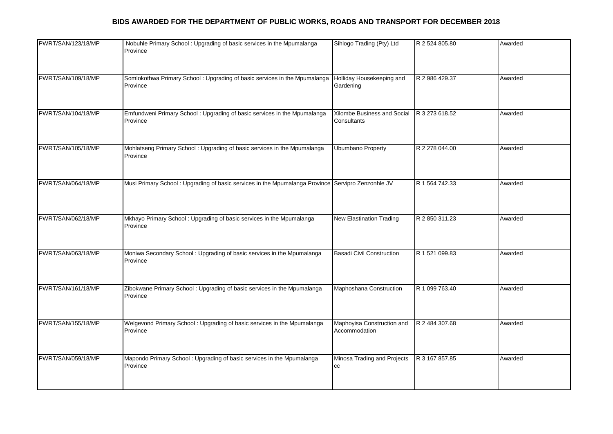| PWRT/SAN/123/18/MP | Nobuhle Primary School: Upgrading of basic services in the Mpumalanga<br>Province                 | Sihlogo Trading (Pty) Ltd                   | R 2 524 805.80 | Awarded |
|--------------------|---------------------------------------------------------------------------------------------------|---------------------------------------------|----------------|---------|
| PWRT/SAN/109/18/MP | Somlokothwa Primary School: Upgrading of basic services in the Mpumalanga<br>Province             | Holliday Housekeeping and<br>Gardening      | R 2 986 429.37 | Awarded |
| PWRT/SAN/104/18/MP | Emfundweni Primary School: Upgrading of basic services in the Mpumalanga<br>Province              | Xilombe Business and Social<br>Consultants  | R 3 273 618.52 | Awarded |
| PWRT/SAN/105/18/MP | Mohlatseng Primary School: Upgrading of basic services in the Mpumalanga<br>Province              | <b>Ubumbano Property</b>                    | R 2 278 044.00 | Awarded |
| PWRT/SAN/064/18/MP | Musi Primary School: Upgrading of basic services in the Mpumalanga Province Servipro Zenzonhle JV |                                             | R 1 564 742.33 | Awarded |
| PWRT/SAN/062/18/MP | Mkhayo Primary School: Upgrading of basic services in the Mpumalanga<br>Province                  | <b>New Elastination Trading</b>             | R 2 850 311.23 | Awarded |
| PWRT/SAN/063/18/MP | Moniwa Secondary School: Upgrading of basic services in the Mpumalanga<br>Province                | Basadi Civil Construction                   | R 1 521 099.83 | Awarded |
| PWRT/SAN/161/18/MP | Zibokwane Primary School: Upgrading of basic services in the Mpumalanga<br>Province               | Maphoshana Construction                     | R 1 099 763.40 | Awarded |
| PWRT/SAN/155/18/MP | Welgevond Primary School: Upgrading of basic services in the Mpumalanga<br>Province               | Maphoyisa Construction and<br>Accommodation | R 2 484 307.68 | Awarded |
| PWRT/SAN/059/18/MP | Mapondo Primary School: Upgrading of basic services in the Mpumalanga<br>Province                 | Minosa Trading and Projects<br>СC           | R 3 167 857.85 | Awarded |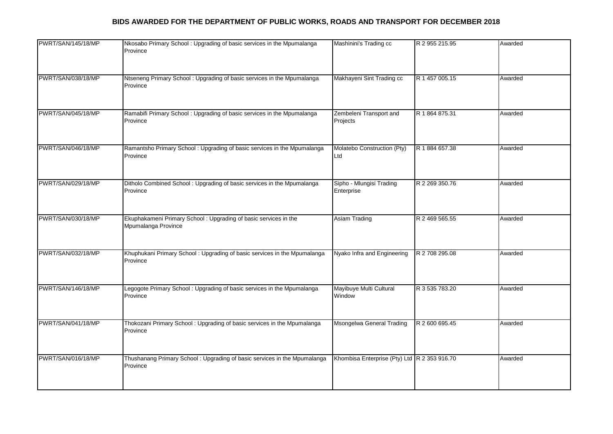| PWRT/SAN/145/18/MP | Nkosabo Primary School: Upgrading of basic services in the Mpumalanga<br>Province       | Mashinini's Trading cc                       | R 2 955 215.95 | Awarded |
|--------------------|-----------------------------------------------------------------------------------------|----------------------------------------------|----------------|---------|
| PWRT/SAN/038/18/MP | Ntseneng Primary School: Upgrading of basic services in the Mpumalanga<br>Province      | Makhayeni Sint Trading cc                    | R 1 457 005.15 | Awarded |
| PWRT/SAN/045/18/MP | Ramabifi Primary School: Upgrading of basic services in the Mpumalanga<br>Province      | Zembeleni Transport and<br>Projects          | R 1 864 875.31 | Awarded |
| PWRT/SAN/046/18/MP | Ramantsho Primary School: Upgrading of basic services in the Mpumalanga<br>Province     | Molatebo Construction (Pty)<br>Ltd           | R 1 884 657.38 | Awarded |
| PWRT/SAN/029/18/MP | Ditholo Combined School: Upgrading of basic services in the Mpumalanga<br>Province      | Sipho - Mlungisi Trading<br>Enterprise       | R 2 269 350.76 | Awarded |
| PWRT/SAN/030/18/MP | Ekuphakameni Primary School : Upgrading of basic services in the<br>Mpumalanga Province | <b>Asiam Trading</b>                         | R 2 469 565.55 | Awarded |
| PWRT/SAN/032/18/MP | Khuphukani Primary School: Upgrading of basic services in the Mpumalanga<br>Province    | Nyako Infra and Engineering                  | R 2 708 295.08 | Awarded |
| PWRT/SAN/146/18/MP | Legogote Primary School: Upgrading of basic services in the Mpumalanga<br>Province      | Mayibuye Multi Cultural<br>Window            | R 3 535 783.20 | Awarded |
| PWRT/SAN/041/18/MP | Thokozani Primary School: Upgrading of basic services in the Mpumalanga<br>Province     | Msongelwa General Trading                    | R 2 600 695.45 | Awarded |
| PWRT/SAN/016/18/MP | Thushanang Primary School: Upgrading of basic services in the Mpumalanga<br>Province    | Khombisa Enterprise (Pty) Ltd R 2 353 916.70 |                | Awarded |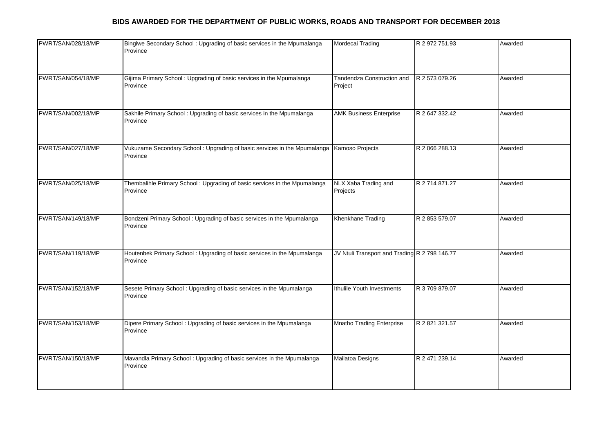| PWRT/SAN/028/18/MP | Bingiwe Secondary School: Upgrading of basic services in the Mpumalanga<br>Province   | Mordecai Trading                              | R 2 972 751.93 | Awarded |
|--------------------|---------------------------------------------------------------------------------------|-----------------------------------------------|----------------|---------|
| PWRT/SAN/054/18/MP | Gijima Primary School: Upgrading of basic services in the Mpumalanga<br>Province      | Tandendza Construction and<br>Project         | R 2 573 079.26 | Awarded |
| PWRT/SAN/002/18/MP | Sakhile Primary School: Upgrading of basic services in the Mpumalanga<br>Province     | <b>AMK Business Enterprise</b>                | R 2 647 332.42 | Awarded |
| PWRT/SAN/027/18/MP | Vukuzame Secondary School: Upgrading of basic services in the Mpumalanga<br>Province  | Kamoso Projects                               | R 2 066 288.13 | Awarded |
| PWRT/SAN/025/18/MP | Thembalihle Primary School: Upgrading of basic services in the Mpumalanga<br>Province | NLX Xaba Trading and<br>Projects              | R 2 714 871.27 | Awarded |
| PWRT/SAN/149/18/MP | Bondzeni Primary School: Upgrading of basic services in the Mpumalanga<br>Province    | Khenkhane Trading                             | R 2 853 579.07 | Awarded |
| PWRT/SAN/119/18/MP | Houtenbek Primary School: Upgrading of basic services in the Mpumalanga<br>Province   | JV Ntuli Transport and Trading R 2 798 146.77 |                | Awarded |
| PWRT/SAN/152/18/MP | Sesete Primary School: Upgrading of basic services in the Mpumalanga<br>Province      | Ithulile Youth Investments                    | R 3 709 879.07 | Awarded |
| PWRT/SAN/153/18/MP | Dipere Primary School: Upgrading of basic services in the Mpumalanga<br>Province      | <b>Mnatho Trading Enterprise</b>              | R 2 821 321.57 | Awarded |
| PWRT/SAN/150/18/MP | Mavandla Primary School: Upgrading of basic services in the Mpumalanga<br>Province    | <b>Mailatoa Designs</b>                       | R 2 471 239.14 | Awarded |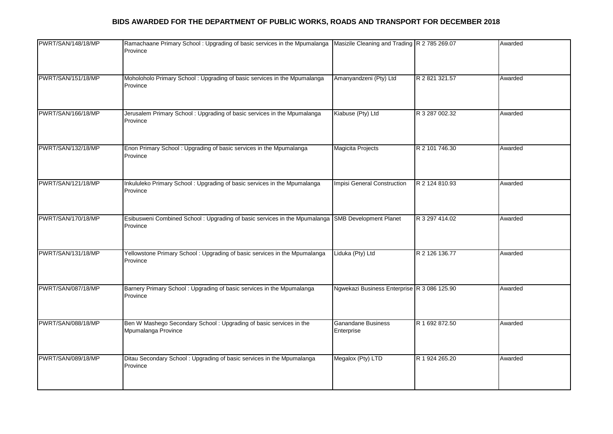| PWRT/SAN/148/18/MP | Ramachaane Primary School: Upgrading of basic services in the Mpumalanga<br>Province                          | Masizile Cleaning and Trading R 2 785 269.07 |                | Awarded |
|--------------------|---------------------------------------------------------------------------------------------------------------|----------------------------------------------|----------------|---------|
| PWRT/SAN/151/18/MP | Moholoholo Primary School: Upgrading of basic services in the Mpumalanga<br>Province                          | Amanyandzeni (Pty) Ltd                       | R 2 821 321.57 | Awarded |
| PWRT/SAN/166/18/MP | Jerusalem Primary School: Upgrading of basic services in the Mpumalanga<br>Province                           | Kiabuse (Pty) Ltd                            | R 3 287 002.32 | Awarded |
| PWRT/SAN/132/18/MP | Enon Primary School: Upgrading of basic services in the Mpumalanga<br>Province                                | Magicita Projects                            | R 2 101 746.30 | Awarded |
| PWRT/SAN/121/18/MP | Inkululeko Primary School: Upgrading of basic services in the Mpumalanga<br>Province                          | Impisi General Construction                  | R 2 124 810.93 | Awarded |
| PWRT/SAN/170/18/MP | Esibusweni Combined School : Upgrading of basic services in the Mpumalanga SMB Development Planet<br>Province |                                              | R 3 297 414.02 | Awarded |
| PWRT/SAN/131/18/MP | Yellowstone Primary School: Upgrading of basic services in the Mpumalanga<br>Province                         | Liduka (Pty) Ltd                             | R 2 126 136.77 | Awarded |
| PWRT/SAN/087/18/MP | Barnery Primary School: Upgrading of basic services in the Mpumalanga<br>Province                             | Ngwekazi Business Enterprise R 3 086 125.90  |                | Awarded |
| PWRT/SAN/088/18/MP | Ben W Mashego Secondary School: Upgrading of basic services in the<br>Mpumalanga Province                     | <b>Ganandane Business</b><br>Enterprise      | R 1 692 872.50 | Awarded |
| PWRT/SAN/089/18/MP | Ditau Secondary School: Upgrading of basic services in the Mpumalanga<br>Province                             | Megalox (Pty) LTD                            | R 1 924 265.20 | Awarded |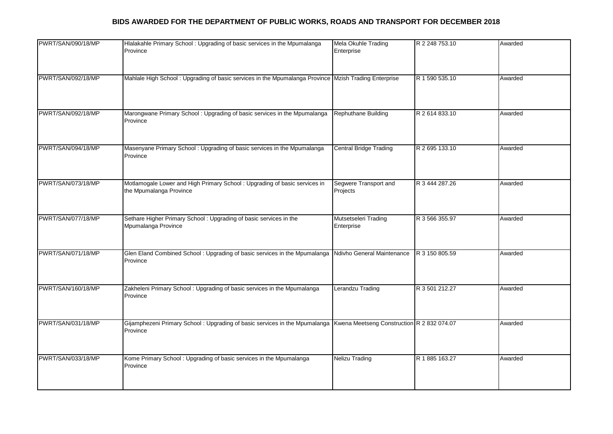| PWRT/SAN/090/18/MP | Hlalakahle Primary School: Upgrading of basic services in the Mpumalanga<br>Province                                              | Mela Okuhle Trading<br>Enterprise  | R 2 248 753.10 | Awarded |
|--------------------|-----------------------------------------------------------------------------------------------------------------------------------|------------------------------------|----------------|---------|
| PWRT/SAN/092/18/MP | Mahlale High School: Upgrading of basic services in the Mpumalanga Province Mzish Trading Enterprise                              |                                    | R 1 590 535.10 | Awarded |
| PWRT/SAN/092/18/MP | Marongwane Primary School: Upgrading of basic services in the Mpumalanga<br>Province                                              | Rephuthane Building                | R 2 614 833.10 | Awarded |
| PWRT/SAN/094/18/MP | Masenyane Primary School: Upgrading of basic services in the Mpumalanga<br>Province                                               | <b>Central Bridge Trading</b>      | R 2 695 133.10 | Awarded |
| PWRT/SAN/073/18/MP | Motlamogale Lower and High Primary School : Upgrading of basic services in<br>the Mpumalanga Province                             | Segwere Transport and<br>Projects  | R 3 444 287.26 | Awarded |
| PWRT/SAN/077/18/MP | Sethare Higher Primary School: Upgrading of basic services in the<br>Mpumalanga Province                                          | Mutsetseleri Trading<br>Enterprise | R 3 566 355.97 | Awarded |
| PWRT/SAN/071/18/MP | Glen Eland Combined School : Upgrading of basic services in the Mpumalanga Ndivho General Maintenance<br>Province                 |                                    | R 3 150 805.59 | Awarded |
| PWRT/SAN/160/18/MP | Zakheleni Primary School: Upgrading of basic services in the Mpumalanga<br>Province                                               | Lerandzu Trading                   | R 3 501 212.27 | Awarded |
| PWRT/SAN/031/18/MP | Gijamphezeni Primary School: Upgrading of basic services in the Mpumalanga Kwena Meetseng Construction R 2 832 074.07<br>Province |                                    |                | Awarded |
| PWRT/SAN/033/18/MP | Kome Primary School: Upgrading of basic services in the Mpumalanga<br>Province                                                    | <b>Nelizu Trading</b>              | R 1 885 163.27 | Awarded |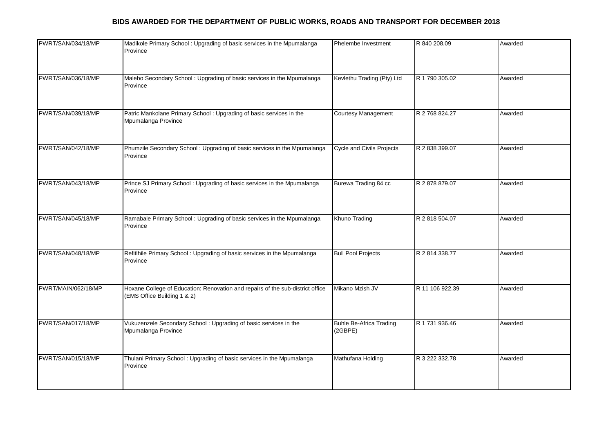| PWRT/SAN/034/18/MP  | Madikole Primary School: Upgrading of basic services in the Mpumalanga<br>Province                            | Phelembe Investment                       | R 840 208.09    | Awarded |
|---------------------|---------------------------------------------------------------------------------------------------------------|-------------------------------------------|-----------------|---------|
| PWRT/SAN/036/18/MP  | Malebo Secondary School: Upgrading of basic services in the Mpumalanga<br>Province                            | Kevlethu Trading (Pty) Ltd                | R 1 790 305.02  | Awarded |
| PWRT/SAN/039/18/MP  | Patric Mankolane Primary School: Upgrading of basic services in the<br>Mpumalanga Province                    | Courtesy Management                       | R 2 768 824.27  | Awarded |
| PWRT/SAN/042/18/MP  | Phumzile Secondary School: Upgrading of basic services in the Mpumalanga<br>Province                          | <b>Cycle and Civils Projects</b>          | R 2 838 399.07  | Awarded |
| PWRT/SAN/043/18/MP  | Prince SJ Primary School: Upgrading of basic services in the Mpumalanga<br>Province                           | Burewa Trading 84 cc                      | R 2 878 879.07  | Awarded |
| PWRT/SAN/045/18/MP  | Ramabale Primary School: Upgrading of basic services in the Mpumalanga<br>Province                            | Khuno Trading                             | R 2 818 504.07  | Awarded |
| PWRT/SAN/048/18/MP  | Refitlhile Primary School: Upgrading of basic services in the Mpumalanga<br>Province                          | <b>Bull Pool Projects</b>                 | R 2 814 338.77  | Awarded |
| PWRT/MAIN/062/18/MP | Hoxane College of Education: Renovation and repairs of the sub-district office<br>(EMS Office Building 1 & 2) | Mikano Mzish JV                           | R 11 106 922.39 | Awarded |
| PWRT/SAN/017/18/MP  | Vukuzenzele Secondary School: Upgrading of basic services in the<br>Mpumalanga Province                       | <b>Buhle Be-Africa Trading</b><br>(2GBPE) | R 1 731 936.46  | Awarded |
| PWRT/SAN/015/18/MP  | Thulani Primary School: Upgrading of basic services in the Mpumalanga<br>Province                             | Mathufana Holding                         | R 3 222 332.78  | Awarded |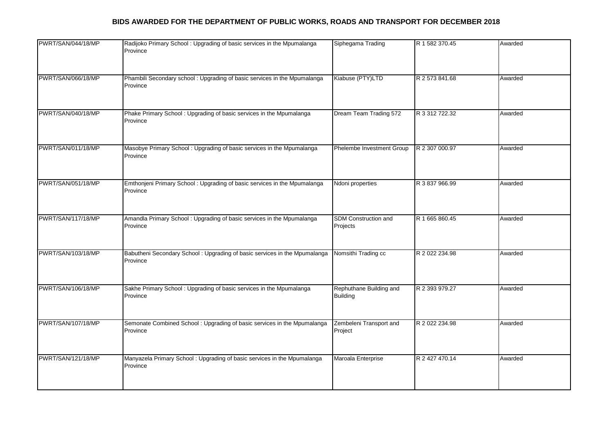| PWRT/SAN/044/18/MP | Radijoko Primary School: Upgrading of basic services in the Mpumalanga<br>Province     | Siphegama Trading                          | R 1 582 370.45 | Awarded |
|--------------------|----------------------------------------------------------------------------------------|--------------------------------------------|----------------|---------|
| PWRT/SAN/066/18/MP | Phambili Secondary school : Upgrading of basic services in the Mpumalanga<br>Province  | Kiabuse (PTY)LTD                           | R 2 573 841.68 | Awarded |
| PWRT/SAN/040/18/MP | Phake Primary School: Upgrading of basic services in the Mpumalanga<br>Province        | Dream Team Trading 572                     | R 3 312 722.32 | Awarded |
| PWRT/SAN/011/18/MP | Masobye Primary School: Upgrading of basic services in the Mpumalanga<br>Province      | Phelembe Investment Group                  | R 2 307 000.97 | Awarded |
| PWRT/SAN/051/18/MP | Emthonjeni Primary School: Upgrading of basic services in the Mpumalanga<br>Province   | Ndoni properties                           | R 3 837 966.99 | Awarded |
| PWRT/SAN/117/18/MP | Amandla Primary School: Upgrading of basic services in the Mpumalanga<br>Province      | SDM Construction and<br>Projects           | R 1 665 860.45 | Awarded |
| PWRT/SAN/103/18/MP | Babutheni Secondary School : Upgrading of basic services in the Mpumalanga<br>Province | Nomsithi Trading cc                        | R 2 022 234.98 | Awarded |
| PWRT/SAN/106/18/MP | Sakhe Primary School: Upgrading of basic services in the Mpumalanga<br>Province        | Rephuthane Building and<br><b>Building</b> | R 2 393 979.27 | Awarded |
| PWRT/SAN/107/18/MP | Semonate Combined School: Upgrading of basic services in the Mpumalanga<br>Province    | Zembeleni Transport and<br>Project         | R 2 022 234.98 | Awarded |
| PWRT/SAN/121/18/MP | Manyazela Primary School: Upgrading of basic services in the Mpumalanga<br>Province    | Maroala Enterprise                         | R 2 427 470.14 | Awarded |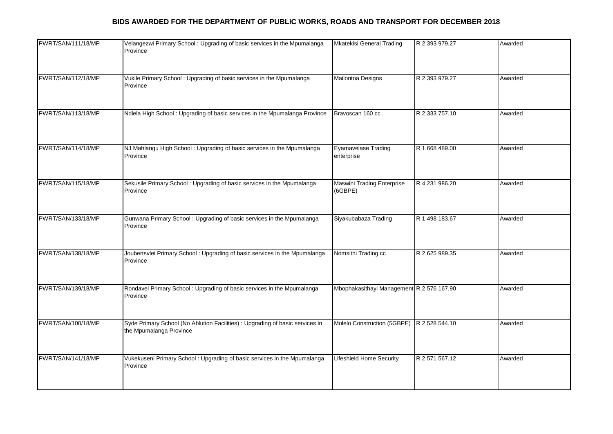| PWRT/SAN/111/18/MP | Velangezwi Primary School: Upgrading of basic services in the Mpumalanga<br>Province                     | <b>Mkatekisi General Trading</b>           | R 2 393 979.27 | Awarded |
|--------------------|----------------------------------------------------------------------------------------------------------|--------------------------------------------|----------------|---------|
| PWRT/SAN/112/18/MP | Vukile Primary School: Upgrading of basic services in the Mpumalanga<br>Province                         | Mailontoa Designs                          | R 2 393 979.27 | Awarded |
| PWRT/SAN/113/18/MP | Ndlela High School: Upgrading of basic services in the Mpumalanga Province                               | Bravoscan 160 cc                           | R 2 333 757.10 | Awarded |
| PWRT/SAN/114/18/MP | NJ Mahlangu High School: Upgrading of basic services in the Mpumalanga<br>Province                       | <b>Eyamavelase Trading</b><br>enterprise   | R 1 668 489.00 | Awarded |
| PWRT/SAN/115/18/MP | Sekusile Primary School: Upgrading of basic services in the Mpumalanga<br>Province                       | Maswini Trading Enterprise<br>(6GBPE)      | R 4 231 986.20 | Awarded |
| PWRT/SAN/133/18/MP | Gunwana Primary School: Upgrading of basic services in the Mpumalanga<br>Province                        | Siyakubabaza Trading                       | R 1 498 183.67 | Awarded |
| PWRT/SAN/138/18/MP | Joubertsvlei Primary School: Upgrading of basic services in the Mpumalanga<br>Province                   | Nomsithi Trading cc                        | R 2 625 989.35 | Awarded |
| PWRT/SAN/139/18/MP | Rondavel Primary School: Upgrading of basic services in the Mpumalanga<br>Province                       | Mbophakasithayi Management R 2 576 167.90  |                | Awarded |
| PWRT/SAN/100/18/MP | Syde Primary School (No Ablution Facilities) : Upgrading of basic services in<br>the Mpumalanga Province | Molelo Construction (5GBPE) R 2 528 544.10 |                | Awarded |
| PWRT/SAN/141/18/MP | Vukekuseni Primary School: Upgrading of basic services in the Mpumalanga<br>Province                     | <b>Lifeshield Home Security</b>            | R 2 571 567.12 | Awarded |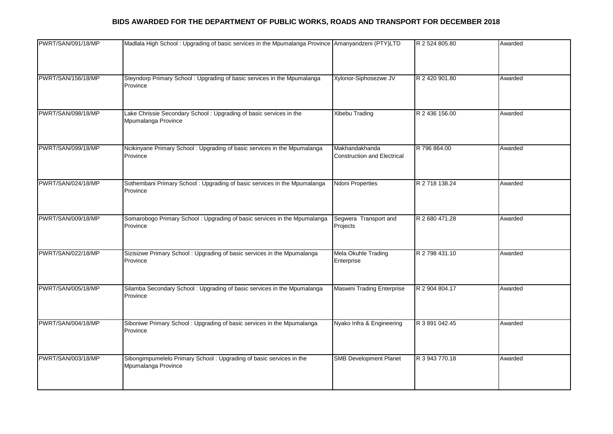| PWRT/SAN/091/18/MP | Madlala High School: Upgrading of basic services in the Mpumalanga Province Amanyandzeni (PTY)LTD |                                                      | R 2 524 805.80 | Awarded |
|--------------------|---------------------------------------------------------------------------------------------------|------------------------------------------------------|----------------|---------|
|                    |                                                                                                   |                                                      |                |         |
| PWRT/SAN/156/18/MP | Steyndorp Primary School: Upgrading of basic services in the Mpumalanga<br>Province               | Xylonor-Siphosezwe JV                                | R 2 420 901.80 | Awarded |
| PWRT/SAN/098/18/MP | Lake Chrissie Secondary School: Upgrading of basic services in the<br>Mpumalanga Province         | <b>Xibebu Trading</b>                                | R 2 436 156.00 | Awarded |
| PWRT/SAN/099/18/MP | Ncikinyane Primary School: Upgrading of basic services in the Mpumalanga<br>Province              | Makhandakhanda<br><b>Construction and Electrical</b> | R 796 864.00   | Awarded |
| PWRT/SAN/024/18/MP | Sothembani Primary School: Upgrading of basic services in the Mpumalanga<br>Province              | <b>Ndoni Properties</b>                              | R 2 718 138.24 | Awarded |
| PWRT/SAN/009/18/MP | Somarobogo Primary School: Upgrading of basic services in the Mpumalanga<br>Province              | Segwera Transport and<br>Projects                    | R 2 680 471.28 | Awarded |
| PWRT/SAN/022/18/MP | Sizisizwe Primary School: Upgrading of basic services in the Mpumalanga<br>Province               | Mela Okuhle Trading<br>Enterprise                    | R 2 798 431.10 | Awarded |
| PWRT/SAN/005/18/MP | Silamba Secondary School: Upgrading of basic services in the Mpumalanga<br>Province               | Maswini Trading Enterprise                           | R 2 904 804.17 | Awarded |
| PWRT/SAN/004/18/MP | Siboniwe Primary School: Upgrading of basic services in the Mpumalanga<br>Province                | Nyako Infra & Engineering                            | R 3 891 042.45 | Awarded |
| PWRT/SAN/003/18/MP | Sibongimpumelelo Primary School: Upgrading of basic services in the<br>Mpumalanga Province        | <b>SMB Development Planet</b>                        | R 3 943 770.18 | Awarded |